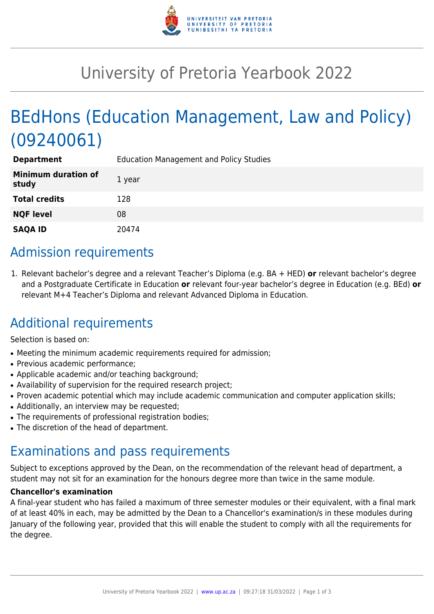

# University of Pretoria Yearbook 2022

# BEdHons (Education Management, Law and Policy) (09240061)

| <b>Department</b>                   | <b>Education Management and Policy Studies</b> |
|-------------------------------------|------------------------------------------------|
| <b>Minimum duration of</b><br>study | 1 year                                         |
| <b>Total credits</b>                | 128                                            |
| <b>NQF level</b>                    | 08                                             |
| <b>SAQA ID</b>                      | 20474                                          |

#### Admission requirements

1. Relevant bachelor's degree and a relevant Teacher's Diploma (e.g. BA + HED) **or** relevant bachelor's degree and a Postgraduate Certificate in Education **or** relevant four-year bachelor's degree in Education (e.g. BEd) **or** relevant M+4 Teacher's Diploma and relevant Advanced Diploma in Education.

## Additional requirements

Selection is based on:

- Meeting the minimum academic requirements required for admission;
- Previous academic performance:
- Applicable academic and/or teaching background;
- Availability of supervision for the required research project;
- Proven academic potential which may include academic communication and computer application skills;
- Additionally, an interview may be requested;
- The requirements of professional registration bodies;
- The discretion of the head of department.

#### Examinations and pass requirements

Subject to exceptions approved by the Dean, on the recommendation of the relevant head of department, a student may not sit for an examination for the honours degree more than twice in the same module.

#### **Chancellor's examination**

A final-year student who has failed a maximum of three semester modules or their equivalent, with a final mark of at least 40% in each, may be admitted by the Dean to a Chancellor's examination/s in these modules during January of the following year, provided that this will enable the student to comply with all the requirements for the degree.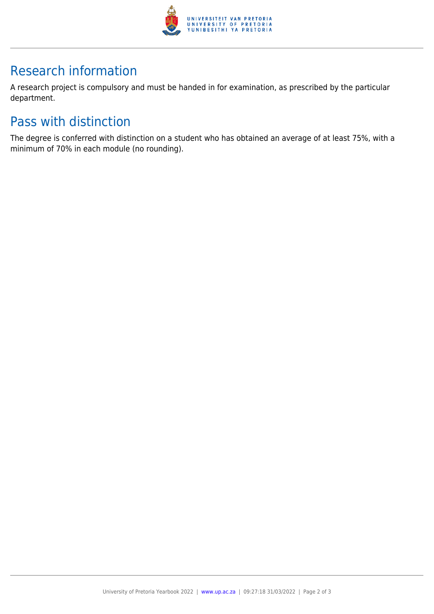

## Research information

A research project is compulsory and must be handed in for examination, as prescribed by the particular department.

## Pass with distinction

The degree is conferred with distinction on a student who has obtained an average of at least 75%, with a minimum of 70% in each module (no rounding).